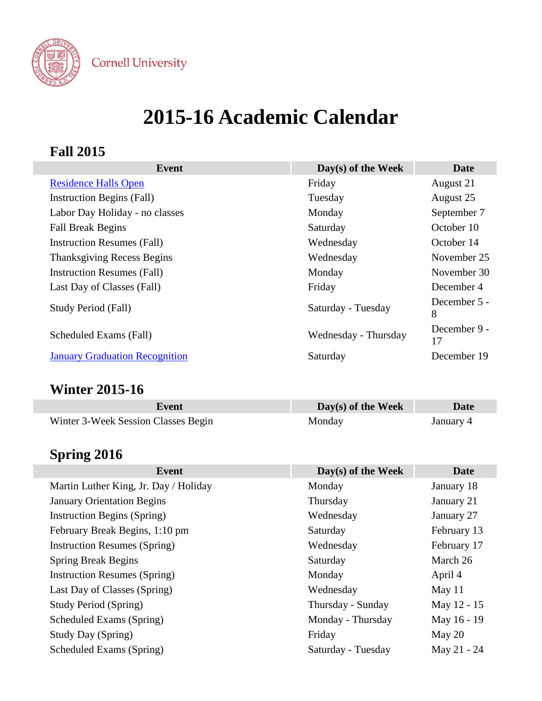

**Cornell University** 

# **2015-16 Academic Calendar**

### **Fall 2015**

| Event                                 | Day(s) of the Week   | Date               |
|---------------------------------------|----------------------|--------------------|
| <b>Residence Halls Open</b>           | Friday               | August 21          |
| <b>Instruction Begins (Fall)</b>      | Tuesday              | August 25          |
| Labor Day Holiday - no classes        | Monday               | September 7        |
| <b>Fall Break Begins</b>              | Saturday             | October 10         |
| <b>Instruction Resumes (Fall)</b>     | Wednesday            | October 14         |
| <b>Thanksgiving Recess Begins</b>     | Wednesday            | November 25        |
| <b>Instruction Resumes (Fall)</b>     | Monday               | November 30        |
| Last Day of Classes (Fall)            | Friday               | December 4         |
| Study Period (Fall)                   | Saturday - Tuesday   | December 5 -<br>8  |
| Scheduled Exams (Fall)                | Wednesday - Thursday | December 9 -<br>17 |
| <b>January Graduation Recognition</b> | Saturday             | December 19        |

## **Winter 2015-16**

| Event                               | $Day(s)$ of the Week | Date      |
|-------------------------------------|----------------------|-----------|
| Winter 3-Week Session Classes Begin | Monday               | January 4 |

# **Spring 2016**

| <b>Event</b>                          | $Day(s)$ of the Week | Date        |
|---------------------------------------|----------------------|-------------|
| Martin Luther King, Jr. Day / Holiday | Monday               | January 18  |
| <b>January Orientation Begins</b>     | Thursday             | January 21  |
| <b>Instruction Begins (Spring)</b>    | Wednesday            | January 27  |
| February Break Begins, 1:10 pm        | Saturday             | February 13 |
| <b>Instruction Resumes (Spring)</b>   | Wednesday            | February 17 |
| <b>Spring Break Begins</b>            | Saturday             | March 26    |
| <b>Instruction Resumes (Spring)</b>   | Monday               | April 4     |
| Last Day of Classes (Spring)          | Wednesday            | May $11$    |
| <b>Study Period (Spring)</b>          | Thursday - Sunday    | May 12 - 15 |
| Scheduled Exams (Spring)              | Monday - Thursday    | May 16 - 19 |
| <b>Study Day (Spring)</b>             | Friday               | May 20      |
| Scheduled Exams (Spring)              | Saturday - Tuesday   | May 21 - 24 |